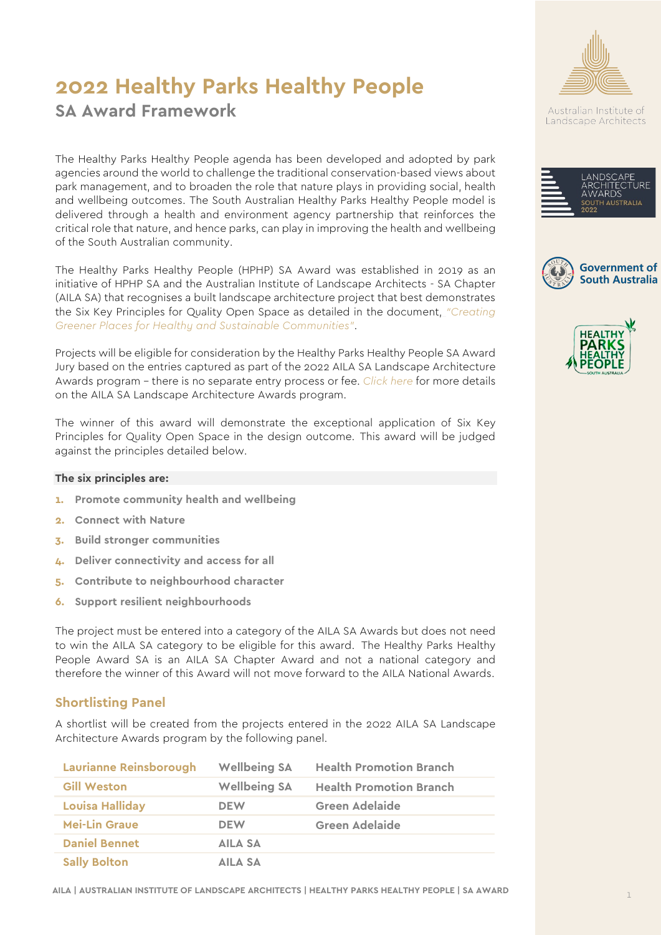# **2022 Healthy Parks Healthy People**

## **SA Award Framework**

The Healthy Parks Healthy People agenda has been developed and adopted by park agencies around the world to challenge the traditional conservation-based views about park management, and to broaden the role that nature plays in providing social, health and wellbeing outcomes. The South Australian Healthy Parks Healthy People model is delivered through a health and environment agency partnership that reinforces the critical role that nature, and hence parks, can play in improving the health and wellbeing of the South Australian community.

The Healthy Parks Healthy People (HPHP) SA Award was established in 2019 as an initiative of HPHP SA and the Australian Institute of Landscape Architects - SA Chapter (AILA SA) that recognises a built landscape architecture project that best demonstrates the Six Key Principles for Quality Open Space as detailed in the document, *["Creating](https://www.odasa.sa.gov.au/wp-content/uploads/Green-Public-Spaces-Principles-FIN-WEB-V3.pdf)  [Greener Places for Healthy and Sustainable Communities"](https://www.odasa.sa.gov.au/wp-content/uploads/Green-Public-Spaces-Principles-FIN-WEB-V3.pdf)*.

Projects will be eligible for consideration by the Healthy Parks Healthy People SA Award Jury based on the entries captured as part of the 2022 AILA SA Landscape Architecture Awards program – there is no separate entry process or fee. *[Click here](mailto:https://www.aila.org.au/Web/Profile/Awards/SA-Awards/Web/Profile/SA-Landscape-Architecture-Awards.aspx?hkey=1b292cce-024d-49b9-b3da-25902c59163a)* for more details on the AILA SA Landscape Architecture Awards program.

The winner of this award will demonstrate the exceptional application of Six Key Principles for Quality Open Space in the design outcome. This award will be judged against the principles detailed below.

#### **The six principles are:**

- **1. Promote community health and wellbeing**
- **2. Connect with Nature**
- **3. Build stronger communities**
- **4. Deliver connectivity and access for all**
- **5. Contribute to neighbourhood character**
- **6. Support resilient neighbourhoods**

The project must be entered into a category of the AILA SA Awards but does not need to win the AILA SA category to be eligible for this award. The Healthy Parks Healthy People Award SA is an AILA SA Chapter Award and not a national category and therefore the winner of this Award will not move forward to the AILA National Awards.

#### **Shortlisting Panel**

A shortlist will be created from the projects entered in the 2022 AILA SA Landscape Architecture Awards program by the following panel.

| <b>Laurianne Reinsborough</b> | <b>Wellbeing SA</b> | <b>Health Promotion Branch</b> |
|-------------------------------|---------------------|--------------------------------|
| <b>Gill Weston</b>            | <b>Wellbeing SA</b> | <b>Health Promotion Branch</b> |
| <b>Louisa Halliday</b>        | <b>DEW</b>          | <b>Green Adelaide</b>          |
| <b>Mei-Lin Graue</b>          | <b>DEW</b>          | <b>Green Adelaide</b>          |
| <b>Daniel Bennet</b>          | AILA SA             |                                |
| <b>Sally Bolton</b>           | AILA SA             |                                |



Australian Institute of Landscape Architects







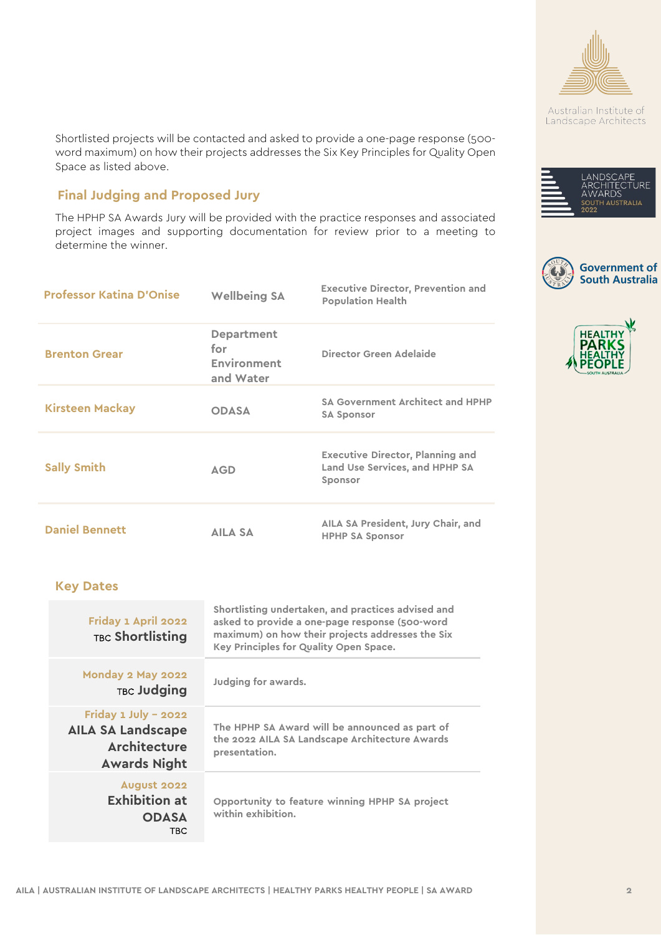

Australian Institute of Landscape Architects







Shortlisted projects will be contacted and asked to provide a one-page response (500 word maximum) on how their projects addresses the Six Key Principles for Quality Open Space as listed above.

### **Final Judging and Proposed Jury**

The HPHP SA Awards Jury will be provided with the practice responses and associated project images and supporting documentation for review prior to a meeting to determine the winner.

| <b>Professor Katina D'Onise</b>                                                                | <b>Wellbeing SA</b>                                                                                                                                                                                | <b>Executive Director, Prevention and</b><br><b>Population Health</b>                |
|------------------------------------------------------------------------------------------------|----------------------------------------------------------------------------------------------------------------------------------------------------------------------------------------------------|--------------------------------------------------------------------------------------|
| <b>Brenton Grear</b>                                                                           | <b>Department</b><br>for<br>Environment<br>and Water                                                                                                                                               | Director Green Adelaide                                                              |
| <b>Kirsteen Mackay</b>                                                                         | <b>ODASA</b>                                                                                                                                                                                       | <b>SA Government Architect and HPHP</b><br><b>SA Sponsor</b>                         |
| <b>Sally Smith</b>                                                                             | <b>AGD</b>                                                                                                                                                                                         | <b>Executive Director, Planning and</b><br>Land Use Services, and HPHP SA<br>Sponsor |
| <b>Daniel Bennett</b>                                                                          | <b>AILA SA</b>                                                                                                                                                                                     | AILA SA President, Jury Chair, and<br><b>HPHP SA Sponsor</b>                         |
| <b>Key Dates</b>                                                                               |                                                                                                                                                                                                    |                                                                                      |
| Friday 1 April 2022<br><b>TBC Shortlisting</b>                                                 | Shortlisting undertaken, and practices advised and<br>asked to provide a one-page response (500-word<br>maximum) on how their projects addresses the Six<br>Key Principles for Quality Open Space. |                                                                                      |
| Monday 2 May 2022<br><b>TBC Judging</b>                                                        | Judging for awards.                                                                                                                                                                                |                                                                                      |
| Friday 1 July - 2022<br><b>AILA SA Landscape</b><br><b>Architecture</b><br><b>Awards Night</b> | The HPHP SA Award will be announced as part of<br>the 2022 AILA SA Landscape Architecture Awards<br>presentation.                                                                                  |                                                                                      |
| August 2022<br><b>Exhibition at</b><br><b>ODASA</b><br><b>TBC</b>                              | Opportunity to feature winning HPHP SA project<br>within exhibition.                                                                                                                               |                                                                                      |